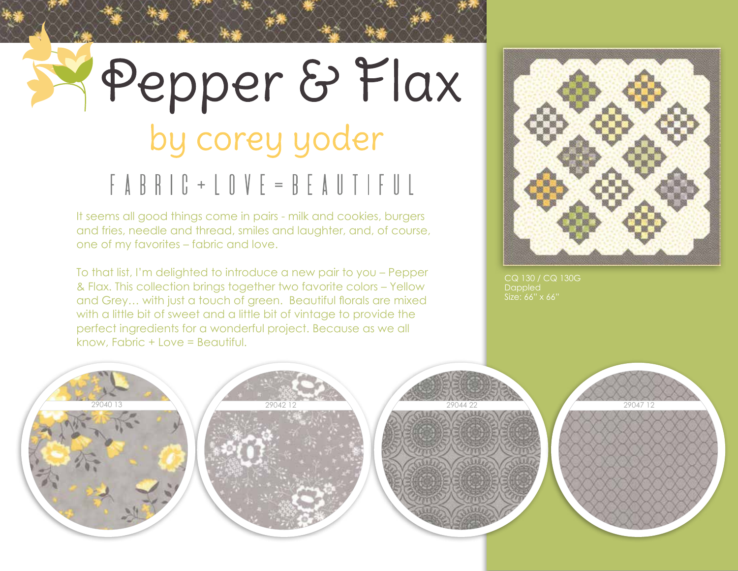## Pepper & Flax by corey yoder  $F AB B C + L O V E = BE A U T F U L$

It seems all good things come in pairs - milk and cookies, burgers and fries, needle and thread, smiles and laughter, and, of course, one of my favorites – fabric and love.

To that list, I'm delighted to introduce a new pair to you – Pepper & Flax. This collection brings together two favorite colors – Yellow and Grey… with just a touch of green. Beautiful florals are mixed with a little bit of sweet and a little bit of vintage to provide the perfect ingredients for a wonderful project. Because as we all know, Fabric + Love = Beautiful.



CQ 130 / CQ 130G Dappled







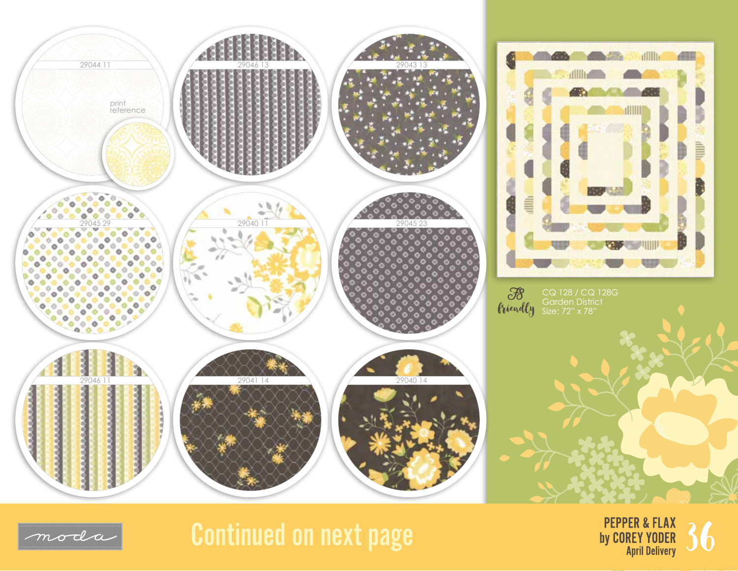



## **Continued on next page**



dilli.

ÆШ

FIII

B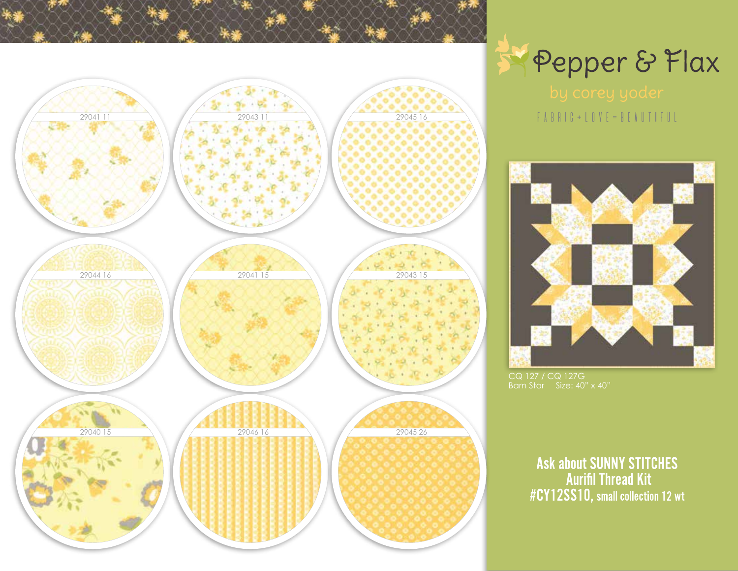



 $\begin{array}{c} \top A \ B \ R \ \Gamma \ C \ + \ L \ C \ V \ E \ = \ B \ E \ A \ U \ T \ T \ F \ U \ L \end{array}$ 



CQ 127 / CQ 127G Barn Star Size: 40" x 40"

Ask about SUNNY STITCHES<br>Aurifil Thread Kit<br>#CY12SS10, small collection 12 wt